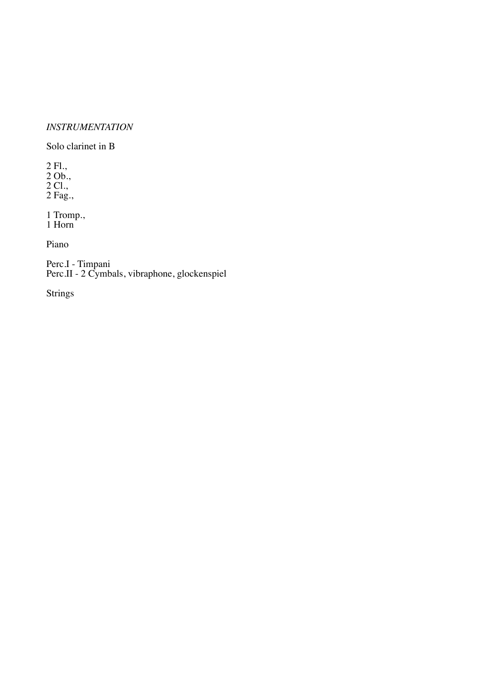## *INSTRUMENTATION*

Solo clarinet in B

2 Fl., 2 Ob., 2 Cl., 2 Fag.,

1 Tromp., 1 Horn

Piano

Perc.I - Timpani Perc.II - 2 Cymbals, vibraphone, glockenspiel

Strings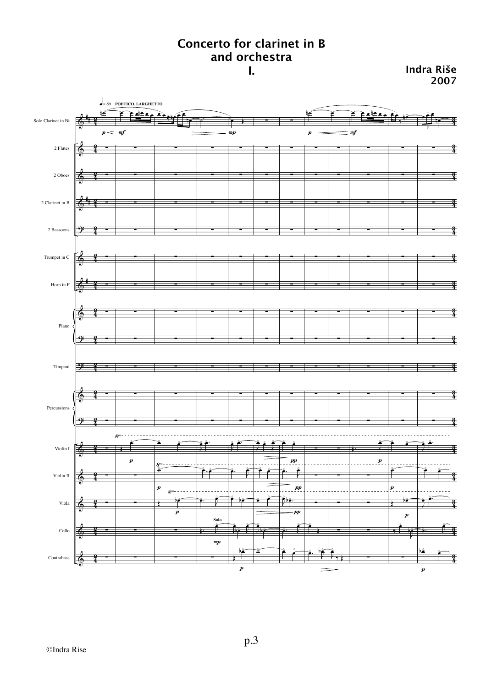## **Concerto for clarinet in B and orchestra**

**I. Indra Riše 2007**